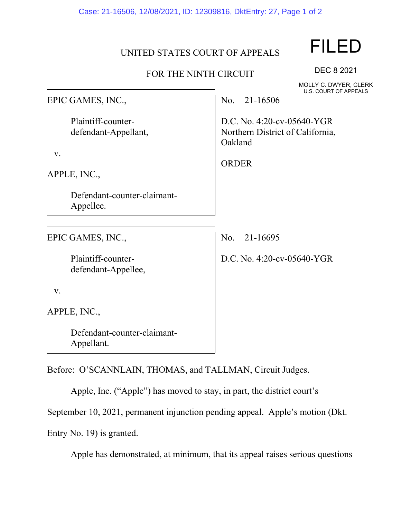Case: 21-16506, 12/08/2021, ID: 12309816, DktEntry: 27, Page 1 of 2

## UNITED STATES COURT OF APPEALS

## FOR THE NINTH CIRCUIT

MOLLY C. DWYER, CLERK U.S. COURT OF APPEALS

DEC 8 2021

| EPIC GAMES, INC.,                                         | U.S. COURT OF APPEALS<br>21-16506<br>No.                                  |
|-----------------------------------------------------------|---------------------------------------------------------------------------|
| Plaintiff-counter-<br>defendant-Appellant,<br>V.          | D.C. No. 4:20-cv-05640-YGR<br>Northern District of California,<br>Oakland |
| APPLE, INC.,                                              | <b>ORDER</b>                                                              |
|                                                           |                                                                           |
| Defendant-counter-claimant-<br>Appellee.                  |                                                                           |
|                                                           |                                                                           |
| EPIC GAMES, INC.,                                         | No.<br>21-16695                                                           |
| Plaintiff-counter-<br>defendant-Appellee,                 | D.C. No. 4:20-cv-05640-YGR                                                |
| V.                                                        |                                                                           |
| APPLE, INC.,                                              |                                                                           |
| Defendant-counter-claimant-<br>Appellant.                 |                                                                           |
| Before: O'SCANNLAIN, THOMAS, and TALLMAN, Circuit Judges. |                                                                           |

Apple, Inc. ("Apple") has moved to stay, in part, the district court's

September 10, 2021, permanent injunction pending appeal. Apple's motion (Dkt.

Entry No. 19) is granted.

Apple has demonstrated, at minimum, that its appeal raises serious questions

## FILED